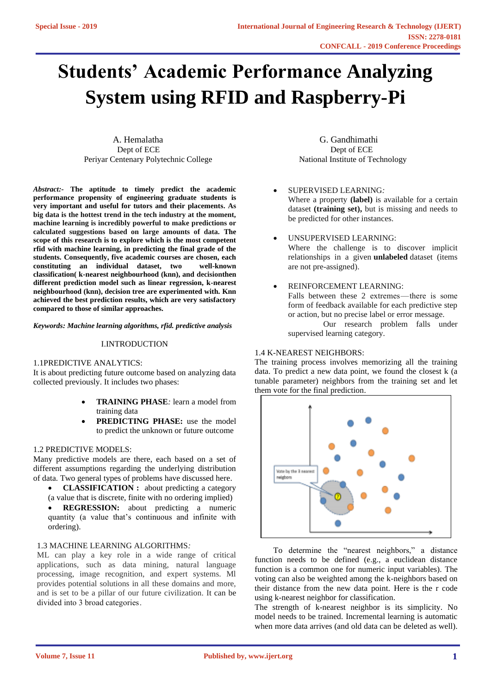# **Students' Academic Performance Analyzing System using RFID and Raspberry-Pi**

A. Hemalatha G. Gandhimathi Dept of ECE Dept of ECE Periyar Centenary Polytechnic College National Institute of Technology

*Abstract:-* **The aptitude to timely predict the academic performance propensity of engineering graduate students is very important and useful for tutors and their placements. As big data is the hottest trend in the tech industry at the moment, machine learning is incredibly powerful to make predictions or calculated suggestions based on large amounts of data. The scope of this research is to explore which is the most competent rfid with machine learning, in predicting the final grade of the students. Consequently, five academic courses are chosen, each constituting an individual dataset, two well-known classification( k-nearest neighbourhood (knn), and decisionthen different prediction model such as linear regression, k-nearest neighbourhood (knn), decision tree are experimented with. Knn achieved the best prediction results, which are very satisfactory compared to those of similar approaches.**

*Keywords: Machine learning algorithms, rfid. predictive analysis* 

#### I.INTRODUCTION

#### 1.1PREDICTIVE ANALYTICS:

It is about predicting future outcome based on analyzing data collected previously. It includes two phases:

- **TRAINING PHASE***:* learn a model from training data
- **PREDICTING PHASE:** use the model to predict the unknown or future outcome

#### 1.2 PREDICTIVE MODELS:

Many predictive models are there, each based on a set of different assumptions regarding the underlying distribution of data. Two general types of problems have discussed here.

- **CLASSIFICATION :** about predicting a category
- (a value that is discrete, finite with no ordering implied) **REGRESSION:** about predicting a numeric quantity (a value that's continuous and infinite with ordering).

#### 1.3 MACHINE LEARNING ALGORITHMS*:*

ML can play a key role in a wide range of critical applications, such as data mining, natural language processing, image recognition, and expert systems. Ml provides potential solutions in all these domains and more, and is set to be a pillar of our future civilization. It can be divided into 3 broad categories.

- SUPERVISED LEARNING*:* Where a property **(label)** is available for a certain dataset **(training set),** but is missing and needs to be predicted for other instances.
- UNSUPERVISED LEARNING: Where the challenge is to discover implicit relationships in a given **unlabeled** dataset (items are not pre-assigned).
- REINFORCEMENT LEARNING: Falls between these 2 extremes—there is some form of feedback available for each predictive step or action, but no precise label or error message. Our research problem falls under

supervised learning category.

#### 1.4 K-NEAREST NEIGHBORS:

The training process involves memorizing all the training data. To predict a new data point, we found the closest k (a tunable parameter) neighbors from the training set and let them vote for the final prediction.



To determine the "nearest neighbors," a distance function needs to be defined (e.g., a euclidean distance function is a common one for numeric input variables). The voting can also be weighted among the k-neighbors based on their distance from the new data point. Here is the r code using k-nearest neighbor for classification.

The strength of k-nearest neighbor is its simplicity. No model needs to be trained. Incremental learning is automatic when more data arrives (and old data can be deleted as well).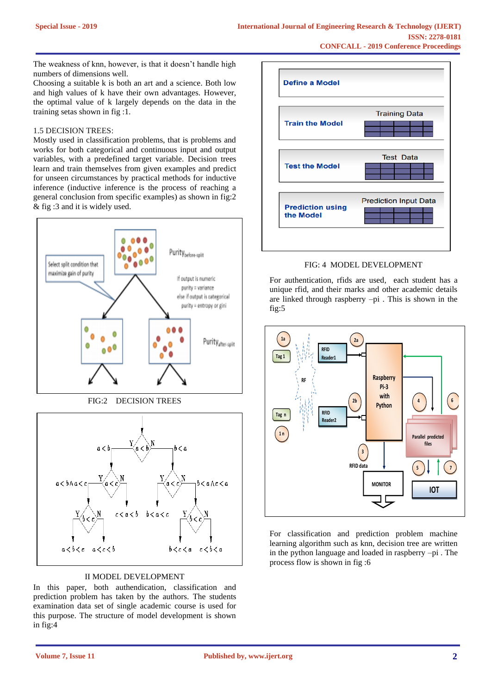The weakness of knn, however, is that it doesn't handle high numbers of dimensions well.

Choosing a suitable k is both an art and a science. Both low and high values of k have their own advantages. However, the optimal value of k largely depends on the data in the training setas shown in fig :1.

#### 1.5 DECISION TREES:

Mostly used in classification problems, that is problems and works for both categorical and continuous input and output variables, with a predefined target variable. Decision trees learn and train themselves from given examples and predict for unseen circumstances by practical methods for inductive inference (inductive inference is the process of reaching a general conclusion from specific examples) as shown in fig:2 & fig :3 and it is widely used.





#### II MODEL DEVELOPMENT

In this paper, both authendication, classification and prediction problem has taken by the authors. The students examination data set of single academic course is used for this purpose. The structure of model development is shown in fig:4



FIG: 4 MODEL DEVELOPMENT

For authentication, rfids are used, each student has a unique rfid, and their marks and other academic details are linked through raspberry –pi . This is shown in the fig:5



For classification and prediction problem machine learning algorithm such as knn, decision tree are written in the python language and loaded in raspberry –pi . The process flow is shown in fig :6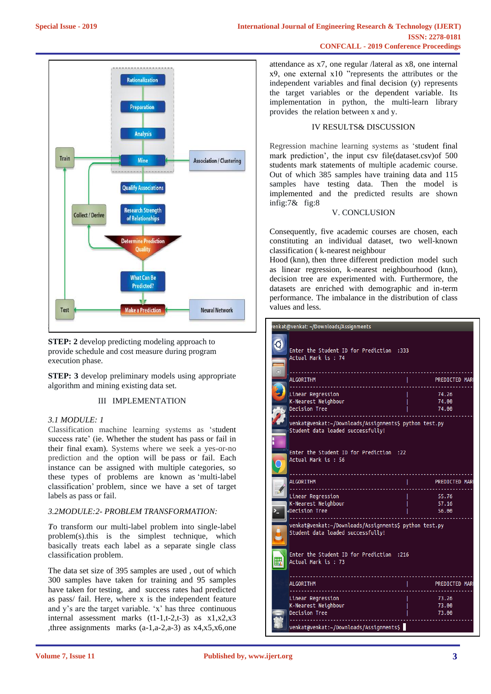

**STEP:** 2 develop predicting modeling approach to provide schedule and cost measure during program execution phase.

**STEP: 3** develop preliminary models using appropriate algorithm and mining existing data set.

## III IMPLEMENTATION

### *3.1 MODULE: 1*

Classification machine learning systems as 'student success rate' (ie. Whether the student has pass or fail in their final exam). Systems where we seek a yes-or-no prediction and the option will be pass or fail. Each instance can be assigned with multiple categories, so these types of problems are known as 'multi-label classification' problem, since we have a set of target labels as pass or fail.

#### *3.2MODULE:2- PROBLEM TRANSFORMATION:*

*T*o transform our multi-label problem into single-label problem(s).this is the simplest technique, which basically treats each label as a separate single class classification problem.

The data set size of 395 samples are used , out of which 300 samples have taken for training and 95 samples have taken for testing, and success rates had predicted as pass/ fail. Here, where x is the independent feature and y's are the target variable. 'x' has three continuous internal assessment marks  $(t1-1,t-2,t-3)$  as  $x1, x2, x3$ ,three assignments marks (a-1,a-2,a-3) as x4,x5,x6,one

attendance as x7, one regular /lateral as x8, one internal x9, one external x10 "represents the attributes or the independent variables and final decision (y) represents the target variables or the dependent variable. Its implementation in python, the multi-learn library provides the relation between x and y.

#### IV RESULTS& DISCUSSION

Regression machine learning systems as 'student final mark prediction'*,* the input csv file(dataset.csv)of 500 students mark statements of multiple academic course. Out of which 385 samples have training data and 115 samples have testing data. Then the model is implemented and the predicted results are shown infig:7& fig:8

#### V. CONCLUSION

Consequently, five academic courses are chosen, each constituting an individual dataset, two well-known classification ( k-nearest neighbour

Hood (knn), then three different prediction model such as linear regression, k-nearest neighbourhood (knn), decision tree are experimented with. Furthermore, the datasets are enriched with demographic and in-term performance. The imbalance in the distribution of class values and less.

| enkat@venkat: ~/Downloads/Assignments                                                       |                         |
|---------------------------------------------------------------------------------------------|-------------------------|
| Enter the Student ID for Prediction :333<br>Actual Mark is: 74<br>$\Box$                    |                         |
| <b>ALGORITHM</b>                                                                            | <b>PREDICTED MARK</b>   |
| Linear Regression<br>K-Nearest Neighbour<br><b>Decision Tree</b>                            | 74.26<br>74.00<br>74.00 |
| venkat@venkat:~/Downloads/Assignments\$ python test.py<br>Student data loaded successfully! |                         |
| 22: Enter the Student ID for Prediction<br>Actual Mark is: 56                               |                         |
| <b>ALGORITHM</b>                                                                            | <b>PREDICTED MARK</b>   |
| Linear Regression<br>K-Nearest Neighbour<br>Decision Tree<br>≻_                             | 55.76<br>57.16<br>56.00 |
| venkat@venkat:~/Downloads/Assignments\$ python test.py<br>Student data loaded successfully! |                         |
| Enter the Student ID for Prediction :216<br>B<br>Actual Mark is : 73                        |                         |
| <b>ALGORITHM</b>                                                                            | <b>PREDICTED MARK</b>   |
| Linear Regression<br>K-Nearest Neighbour<br>Decision Tree                                   | 73.26<br>73.00<br>73.00 |
| venkat@venkat:~/Downloads/Assignments\$                                                     |                         |